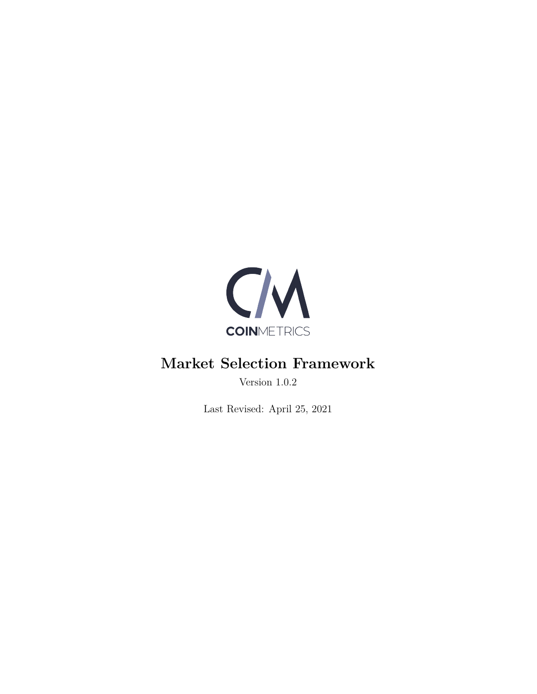

# **Market Selection Framework**

Version 1.0.2

Last Revised: April 25, 2021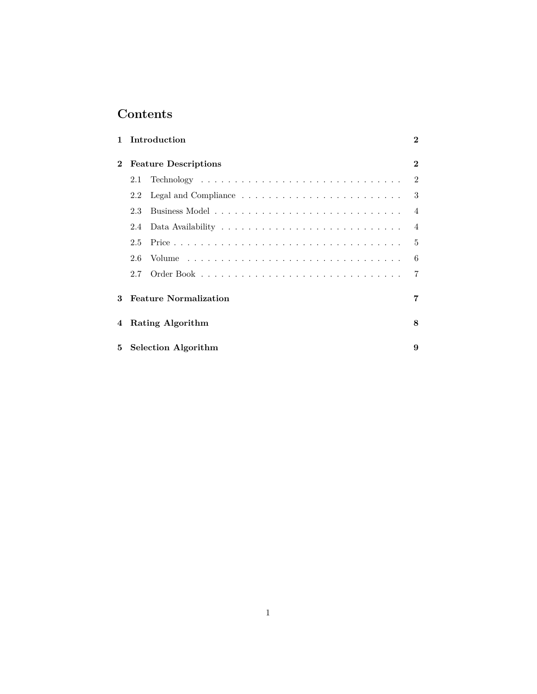## **Contents**

|             |                              | 1 Introduction | $\mathbf 2$    |  |
|-------------|------------------------------|----------------|----------------|--|
| $\mathbf 2$ | <b>Feature Descriptions</b>  |                |                |  |
|             | 2.1                          |                | $\mathfrak{D}$ |  |
|             | 2.2                          |                | 3              |  |
|             | 23                           |                | $\overline{4}$ |  |
|             | 2.4                          |                | $\overline{4}$ |  |
|             | 2.5                          |                | $\overline{5}$ |  |
|             | 2.6                          |                | 6              |  |
|             | 2.7                          |                | $\overline{7}$ |  |
| 3           | <b>Feature Normalization</b> |                |                |  |
| 4           | Rating Algorithm             |                |                |  |
| 5           | <b>Selection Algorithm</b>   |                |                |  |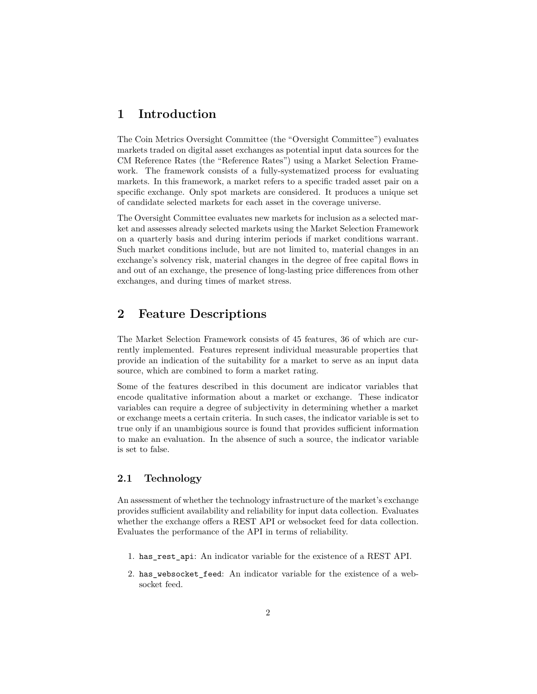## <span id="page-2-0"></span>**1 Introduction**

The Coin Metrics Oversight Committee (the "Oversight Committee") evaluates markets traded on digital asset exchanges as potential input data sources for the CM Reference Rates (the "Reference Rates") using a Market Selection Framework. The framework consists of a fully-systematized process for evaluating markets. In this framework, a market refers to a specific traded asset pair on a specific exchange. Only spot markets are considered. It produces a unique set of candidate selected markets for each asset in the coverage universe.

The Oversight Committee evaluates new markets for inclusion as a selected market and assesses already selected markets using the Market Selection Framework on a quarterly basis and during interim periods if market conditions warrant. Such market conditions include, but are not limited to, material changes in an exchange's solvency risk, material changes in the degree of free capital flows in and out of an exchange, the presence of long-lasting price differences from other exchanges, and during times of market stress.

### <span id="page-2-1"></span>**2 Feature Descriptions**

The Market Selection Framework consists of 45 features, 36 of which are currently implemented. Features represent individual measurable properties that provide an indication of the suitability for a market to serve as an input data source, which are combined to form a market rating.

Some of the features described in this document are indicator variables that encode qualitative information about a market or exchange. These indicator variables can require a degree of subjectivity in determining whether a market or exchange meets a certain criteria. In such cases, the indicator variable is set to true only if an unambigious source is found that provides sufficient information to make an evaluation. In the absence of such a source, the indicator variable is set to false.

#### <span id="page-2-2"></span>**2.1 Technology**

An assessment of whether the technology infrastructure of the market's exchange provides sufficient availability and reliability for input data collection. Evaluates whether the exchange offers a REST API or websocket feed for data collection. Evaluates the performance of the API in terms of reliability.

- 1. has\_rest\_api: An indicator variable for the existence of a REST API.
- 2. has\_websocket\_feed: An indicator variable for the existence of a websocket feed.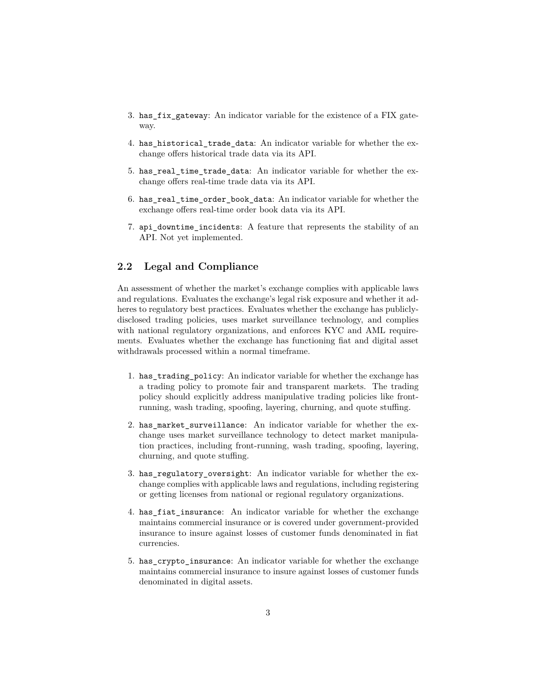- 3. has\_fix\_gateway: An indicator variable for the existence of a FIX gateway.
- 4. has historical trade data: An indicator variable for whether the exchange offers historical trade data via its API.
- 5. has\_real\_time\_trade\_data: An indicator variable for whether the exchange offers real-time trade data via its API.
- 6. has\_real\_time\_order\_book\_data: An indicator variable for whether the exchange offers real-time order book data via its API.
- 7. api\_downtime\_incidents: A feature that represents the stability of an API. Not yet implemented.

#### <span id="page-3-0"></span>**2.2 Legal and Compliance**

An assessment of whether the market's exchange complies with applicable laws and regulations. Evaluates the exchange's legal risk exposure and whether it adheres to regulatory best practices. Evaluates whether the exchange has publiclydisclosed trading policies, uses market surveillance technology, and complies with national regulatory organizations, and enforces KYC and AML requirements. Evaluates whether the exchange has functioning fiat and digital asset withdrawals processed within a normal timeframe.

- 1. has\_trading\_policy: An indicator variable for whether the exchange has a trading policy to promote fair and transparent markets. The trading policy should explicitly address manipulative trading policies like frontrunning, wash trading, spoofing, layering, churning, and quote stuffing.
- 2. has\_market\_surveillance: An indicator variable for whether the exchange uses market surveillance technology to detect market manipulation practices, including front-running, wash trading, spoofing, layering, churning, and quote stuffing.
- 3. has regulatory oversight: An indicator variable for whether the exchange complies with applicable laws and regulations, including registering or getting licenses from national or regional regulatory organizations.
- 4. has fiat insurance: An indicator variable for whether the exchange maintains commercial insurance or is covered under government-provided insurance to insure against losses of customer funds denominated in fiat currencies.
- 5. has\_crypto\_insurance: An indicator variable for whether the exchange maintains commercial insurance to insure against losses of customer funds denominated in digital assets.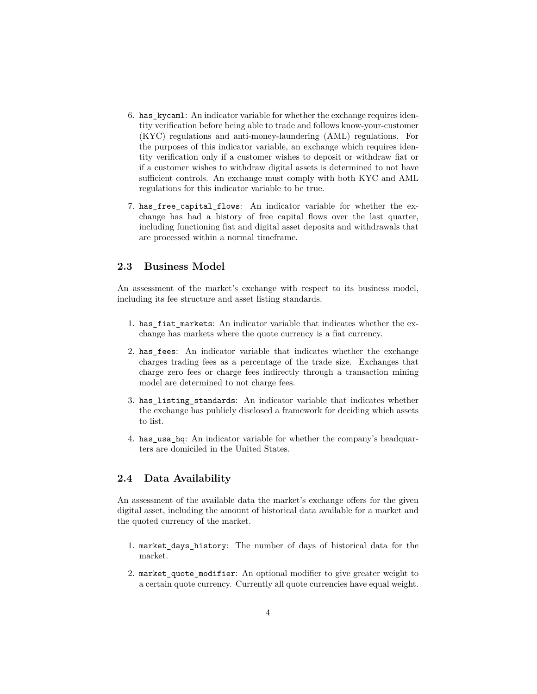- 6. has\_kycaml: An indicator variable for whether the exchange requires identity verification before being able to trade and follows know-your-customer (KYC) regulations and anti-money-laundering (AML) regulations. For the purposes of this indicator variable, an exchange which requires identity verification only if a customer wishes to deposit or withdraw fiat or if a customer wishes to withdraw digital assets is determined to not have sufficient controls. An exchange must comply with both KYC and AML regulations for this indicator variable to be true.
- 7. has\_free\_capital\_flows: An indicator variable for whether the exchange has had a history of free capital flows over the last quarter, including functioning fiat and digital asset deposits and withdrawals that are processed within a normal timeframe.

#### <span id="page-4-0"></span>**2.3 Business Model**

An assessment of the market's exchange with respect to its business model, including its fee structure and asset listing standards.

- 1. has\_fiat\_markets: An indicator variable that indicates whether the exchange has markets where the quote currency is a fiat currency.
- 2. has\_fees: An indicator variable that indicates whether the exchange charges trading fees as a percentage of the trade size. Exchanges that charge zero fees or charge fees indirectly through a transaction mining model are determined to not charge fees.
- 3. has\_listing\_standards: An indicator variable that indicates whether the exchange has publicly disclosed a framework for deciding which assets to list.
- 4. has\_usa\_hq: An indicator variable for whether the company's headquarters are domiciled in the United States.

#### <span id="page-4-1"></span>**2.4 Data Availability**

An assessment of the available data the market's exchange offers for the given digital asset, including the amount of historical data available for a market and the quoted currency of the market.

- 1. market\_days\_history: The number of days of historical data for the market.
- 2. market quote modifier: An optional modifier to give greater weight to a certain quote currency. Currently all quote currencies have equal weight.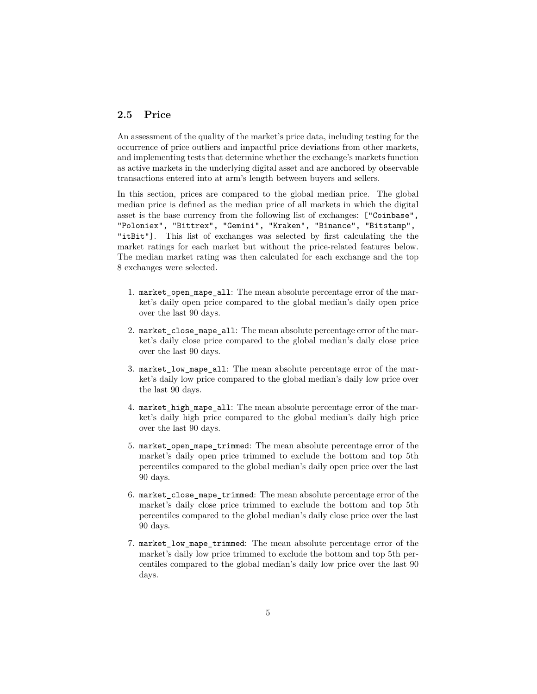#### <span id="page-5-0"></span>**2.5 Price**

An assessment of the quality of the market's price data, including testing for the occurrence of price outliers and impactful price deviations from other markets, and implementing tests that determine whether the exchange's markets function as active markets in the underlying digital asset and are anchored by observable transactions entered into at arm's length between buyers and sellers.

In this section, prices are compared to the global median price. The global median price is defined as the median price of all markets in which the digital asset is the base currency from the following list of exchanges: ["Coinbase", "Poloniex", "Bittrex", "Gemini", "Kraken", "Binance", "Bitstamp", "itBit"]. This list of exchanges was selected by first calculating the the market ratings for each market but without the price-related features below. The median market rating was then calculated for each exchange and the top 8 exchanges were selected.

- 1. market\_open\_mape\_all: The mean absolute percentage error of the market's daily open price compared to the global median's daily open price over the last 90 days.
- 2. market close mape all: The mean absolute percentage error of the market's daily close price compared to the global median's daily close price over the last 90 days.
- 3. market\_low\_mape\_all: The mean absolute percentage error of the market's daily low price compared to the global median's daily low price over the last 90 days.
- 4. market high mape all: The mean absolute percentage error of the market's daily high price compared to the global median's daily high price over the last 90 days.
- 5. market\_open\_mape\_trimmed: The mean absolute percentage error of the market's daily open price trimmed to exclude the bottom and top 5th percentiles compared to the global median's daily open price over the last 90 days.
- 6. market close mape trimmed: The mean absolute percentage error of the market's daily close price trimmed to exclude the bottom and top 5th percentiles compared to the global median's daily close price over the last 90 days.
- 7. market low mape trimmed: The mean absolute percentage error of the market's daily low price trimmed to exclude the bottom and top 5th percentiles compared to the global median's daily low price over the last 90 days.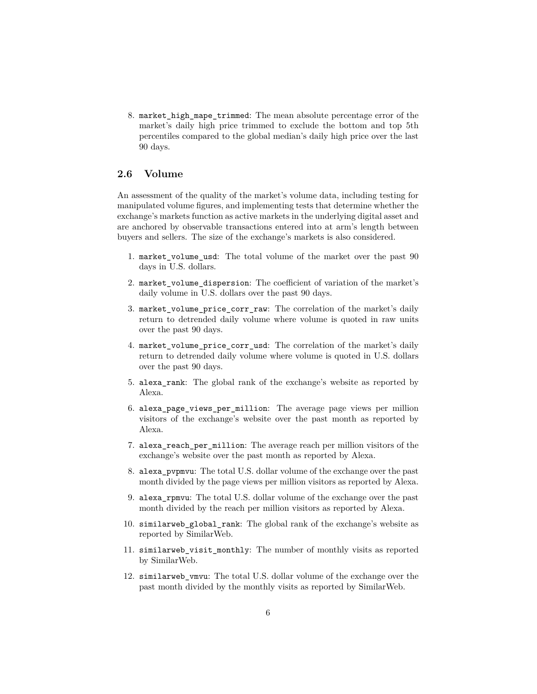8. market\_high\_mape\_trimmed: The mean absolute percentage error of the market's daily high price trimmed to exclude the bottom and top 5th percentiles compared to the global median's daily high price over the last 90 days.

#### <span id="page-6-0"></span>**2.6 Volume**

An assessment of the quality of the market's volume data, including testing for manipulated volume figures, and implementing tests that determine whether the exchange's markets function as active markets in the underlying digital asset and are anchored by observable transactions entered into at arm's length between buyers and sellers. The size of the exchange's markets is also considered.

- 1. market\_volume\_usd: The total volume of the market over the past 90 days in U.S. dollars.
- 2. market\_volume\_dispersion: The coefficient of variation of the market's daily volume in U.S. dollars over the past 90 days.
- 3. market\_volume\_price\_corr\_raw: The correlation of the market's daily return to detrended daily volume where volume is quoted in raw units over the past 90 days.
- 4. market\_volume\_price\_corr\_usd: The correlation of the market's daily return to detrended daily volume where volume is quoted in U.S. dollars over the past 90 days.
- 5. alexa\_rank: The global rank of the exchange's website as reported by Alexa.
- 6. alexa\_page\_views\_per\_million: The average page views per million visitors of the exchange's website over the past month as reported by Alexa.
- 7. alexa\_reach\_per\_million: The average reach per million visitors of the exchange's website over the past month as reported by Alexa.
- 8. alexa\_pvpmvu: The total U.S. dollar volume of the exchange over the past month divided by the page views per million visitors as reported by Alexa.
- 9. alexa\_rpmvu: The total U.S. dollar volume of the exchange over the past month divided by the reach per million visitors as reported by Alexa.
- 10. similarweb\_global\_rank: The global rank of the exchange's website as reported by SimilarWeb.
- 11. similarweb\_visit\_monthly: The number of monthly visits as reported by SimilarWeb.
- 12. similarweb\_vmvu: The total U.S. dollar volume of the exchange over the past month divided by the monthly visits as reported by SimilarWeb.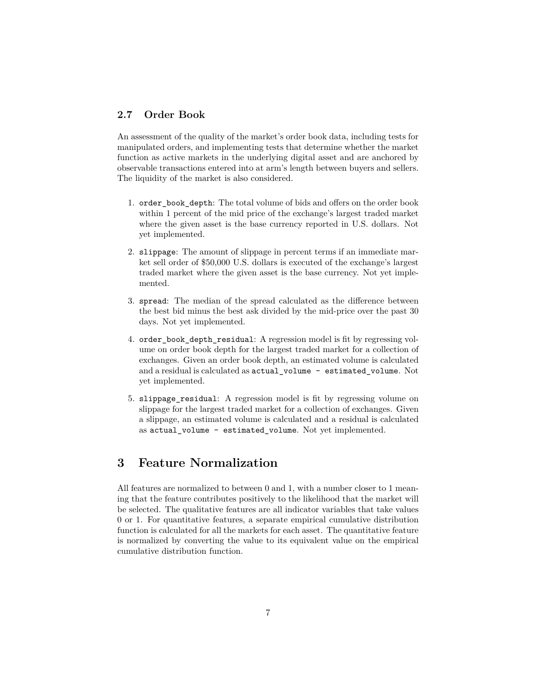#### <span id="page-7-0"></span>**2.7 Order Book**

An assessment of the quality of the market's order book data, including tests for manipulated orders, and implementing tests that determine whether the market function as active markets in the underlying digital asset and are anchored by observable transactions entered into at arm's length between buyers and sellers. The liquidity of the market is also considered.

- 1. order\_book\_depth: The total volume of bids and offers on the order book within 1 percent of the mid price of the exchange's largest traded market where the given asset is the base currency reported in U.S. dollars. Not yet implemented.
- 2. slippage: The amount of slippage in percent terms if an immediate market sell order of \$50,000 U.S. dollars is executed of the exchange's largest traded market where the given asset is the base currency. Not yet implemented.
- 3. spread: The median of the spread calculated as the difference between the best bid minus the best ask divided by the mid-price over the past 30 days. Not yet implemented.
- 4. order book depth residual: A regression model is fit by regressing volume on order book depth for the largest traded market for a collection of exchanges. Given an order book depth, an estimated volume is calculated and a residual is calculated as actual\_volume - estimated\_volume. Not yet implemented.
- 5. slippage\_residual: A regression model is fit by regressing volume on slippage for the largest traded market for a collection of exchanges. Given a slippage, an estimated volume is calculated and a residual is calculated as actual\_volume - estimated\_volume. Not yet implemented.

## <span id="page-7-1"></span>**3 Feature Normalization**

All features are normalized to between 0 and 1, with a number closer to 1 meaning that the feature contributes positively to the likelihood that the market will be selected. The qualitative features are all indicator variables that take values 0 or 1. For quantitative features, a separate empirical cumulative distribution function is calculated for all the markets for each asset. The quantitative feature is normalized by converting the value to its equivalent value on the empirical cumulative distribution function.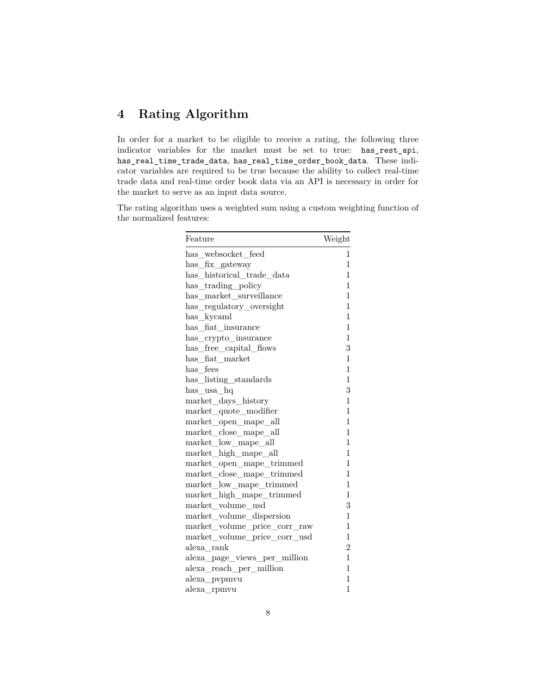## <span id="page-8-0"></span>**4 Rating Algorithm**

In order for a market to be eligible to receive a rating, the following three indicator variables for the market must be set to true: has\_rest\_api, has\_real\_time\_trade\_data, has\_real\_time\_order\_book\_data. These indicator variables are required to be true because the ability to collect real-time trade data and real-time order book data via an API is necessary in order for the market to serve as an input data source.

The rating algorithm uses a weighted sum using a custom weighting function of the normalized features:

| Feature                                | Weight         |
|----------------------------------------|----------------|
| has_websocket_feed                     | 1              |
| has_fix_gateway                        | 1              |
| has historical trade data              | 1              |
| has_trading_policy                     | 1              |
| $has\_market\_surveillance$            | 1              |
| has_regulatory_oversight               | 1              |
| has_kycaml                             | 1              |
| has fiat insurance                     | $\mathbf 1$    |
| has_crypto_insurance                   | $\mathbf{1}$   |
| has_free_capital_flows                 | 3              |
| $has$ _fiat_market                     | 1              |
| has_fees                               | $\overline{1}$ |
| has_listing_standards                  | 1              |
| has_usa_hq                             | 3              |
| market_days_history                    | $\mathbf{1}$   |
| market_quote_modifier                  | 1              |
| market_open_mape_all                   | 1              |
| market_close_mape_all                  | 1              |
| $\mathrm{market\_low\_mape\_all}$      | $\mathbf{1}$   |
| $\mathrm{market\_high\_mape\_all}$     | $\mathbf 1$    |
| market_open_mape_trimmed               | $\mathbf{1}$   |
| market_close_mape_trimmed              | 1              |
| market_low_mape_trimmed                | 1              |
| market_high_mape_trimmed               | 1              |
| market volume usd                      | 3              |
| market_volume_dispersion               | $\mathbf 1$    |
| $\rm market\_volume\_price\_corr\_raw$ | 1              |
| market_volume_price_corr_usd           | 1              |
| alexa_rank                             | $\overline{2}$ |
| alexa_page_views_per_million           | $\mathbf{1}$   |
| alexa reach per million                | 1              |
| alexa_pvpmvu                           | 1              |
| alexa_rpmvu                            | 1              |